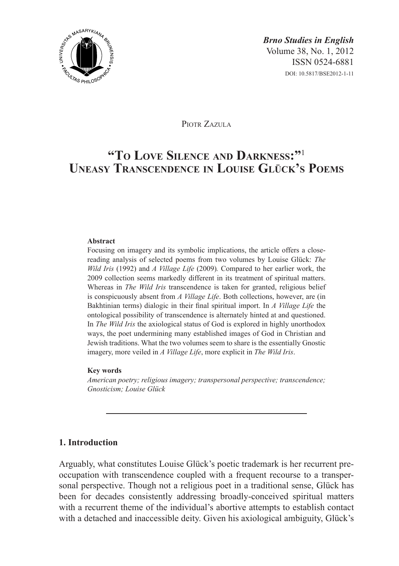

PIOTR ZAZULA

# **"To Love Silence and Darkness:"**<sup>1</sup> **Uneasy Transcendence in Louise Glück's Poems**

#### **Abstract**

Focusing on imagery and its symbolic implications, the article offers a closereading analysis of selected poems from two volumes by Louise Glück: *The Wild Iris* (1992) and *A Village Life* (2009)*.* Compared to her earlier work, the 2009 collection seems markedly different in its treatment of spiritual matters. Whereas in *The Wild Iris* transcendence is taken for granted, religious belief is conspicuously absent from *A Village Life*. Both collections, however, are (in Bakhtinian terms) dialogic in their final spiritual import. In *A Village Life* the ontological possibility of transcendence is alternately hinted at and questioned. In *The Wild Iris* the axiological status of God is explored in highly unorthodox ways, the poet undermining many established images of God in Christian and Jewish traditions. What the two volumes seem to share is the essentially Gnostic imagery, more veiled in *A Village Life*, more explicit in *The Wild Iris*.

#### **Key words**

*American poetry; religious imagery; transpersonal perspective; transcendence; Gnosticism; Louise Glück*

## **1. Introduction**

Arguably, what constitutes Louise Glück's poetic trademark is her recurrent preoccupation with transcendence coupled with a frequent recourse to a transpersonal perspective. Though not a religious poet in a traditional sense, Glück has been for decades consistently addressing broadly-conceived spiritual matters with a recurrent theme of the individual's abortive attempts to establish contact with a detached and inaccessible deity. Given his axiological ambiguity, Glück's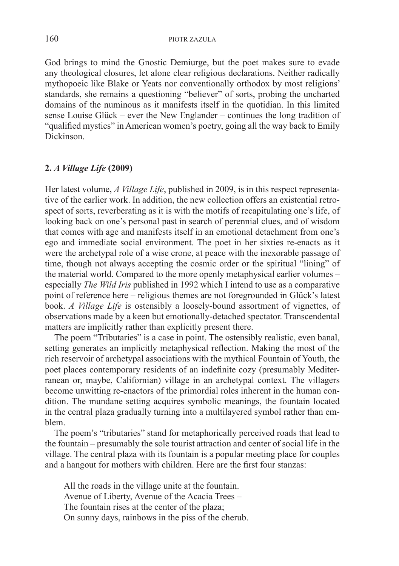God brings to mind the Gnostic Demiurge, but the poet makes sure to evade any theological closures, let alone clear religious declarations. Neither radically mythopoeic like Blake or Yeats nor conventionally orthodox by most religions' standards, she remains a questioning "believer" of sorts, probing the uncharted domains of the numinous as it manifests itself in the quotidian. In this limited sense Louise Glück – ever the New Englander – continues the long tradition of "qualified mystics" in American women's poetry, going all the way back to Emily Dickinson.

## **2.** *A Village Life* **(2009)**

Her latest volume, *A Village Life*, published in 2009, is in this respect representative of the earlier work. In addition, the new collection offers an existential retrospect of sorts, reverberating as it is with the motifs of recapitulating one's life, of looking back on one's personal past in search of perennial clues, and of wisdom that comes with age and manifests itself in an emotional detachment from one's ego and immediate social environment. The poet in her sixties re-enacts as it were the archetypal role of a wise crone, at peace with the inexorable passage of time, though not always accepting the cosmic order or the spiritual "lining" of the material world. Compared to the more openly metaphysical earlier volumes – especially *The Wild Iris* published in 1992 which I intend to use as a comparative point of reference here – religious themes are not foregrounded in Glück's latest book. *A Village Life* is ostensibly a loosely-bound assortment of vignettes, of observations made by a keen but emotionally-detached spectator. Transcendental matters are implicitly rather than explicitly present there.

The poem "Tributaries" is a case in point. The ostensibly realistic, even banal, setting generates an implicitly metaphysical reflection. Making the most of the rich reservoir of archetypal associations with the mythical Fountain of Youth, the poet places contemporary residents of an indefinite cozy (presumably Mediterranean or, maybe, Californian) village in an archetypal context. The villagers become unwitting re-enactors of the primordial roles inherent in the human condition. The mundane setting acquires symbolic meanings, the fountain located in the central plaza gradually turning into a multilayered symbol rather than emblem.

The poem's "tributaries" stand for metaphorically perceived roads that lead to the fountain – presumably the sole tourist attraction and center of social life in the village. The central plaza with its fountain is a popular meeting place for couples and a hangout for mothers with children. Here are the first four stanzas:

All the roads in the village unite at the fountain. Avenue of Liberty, Avenue of the Acacia Trees – The fountain rises at the center of the plaza; On sunny days, rainbows in the piss of the cherub.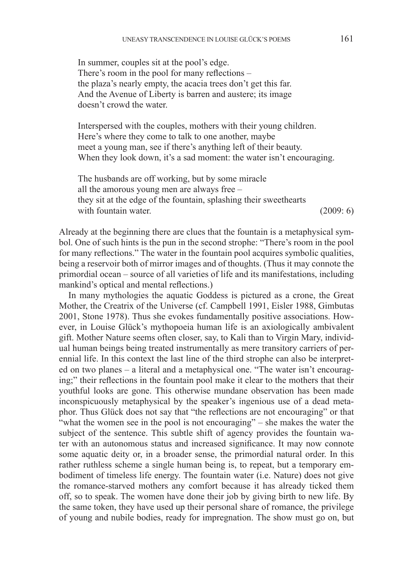In summer, couples sit at the pool's edge. There's room in the pool for many reflections – the plaza's nearly empty, the acacia trees don't get this far. And the Avenue of Liberty is barren and austere; its image doesn't crowd the water.

Interspersed with the couples, mothers with their young children. Here's where they come to talk to one another, maybe meet a young man, see if there's anything left of their beauty. When they look down, it's a sad moment: the water isn't encouraging.

The husbands are off working, but by some miracle all the amorous young men are always free – they sit at the edge of the fountain, splashing their sweethearts with fountain water. (2009: 6)

Already at the beginning there are clues that the fountain is a metaphysical symbol. One of such hints is the pun in the second strophe: "There's room in the pool for many reflections." The water in the fountain pool acquires symbolic qualities, being a reservoir both of mirror images and of thoughts. (Thus it may connote the primordial ocean – source of all varieties of life and its manifestations, including mankind's optical and mental reflections.)

In many mythologies the aquatic Goddess is pictured as a crone, the Great Mother, the Creatrix of the Universe (cf. Campbell 1991, Eisler 1988, Gimbutas 2001, Stone 1978). Thus she evokes fundamentally positive associations. However, in Louise Glück's mythopoeia human life is an axiologically ambivalent gift. Mother Nature seems often closer, say, to Kali than to Virgin Mary, individual human beings being treated instrumentally as mere transitory carriers of perennial life. In this context the last line of the third strophe can also be interpreted on two planes – a literal and a metaphysical one. "The water isn't encouraging;" their reflections in the fountain pool make it clear to the mothers that their youthful looks are gone. This otherwise mundane observation has been made inconspicuously metaphysical by the speaker's ingenious use of a dead metaphor. Thus Glück does not say that "the reflections are not encouraging" or that "what the women see in the pool is not encouraging" – she makes the water the subject of the sentence. This subtle shift of agency provides the fountain water with an autonomous status and increased significance. It may now connote some aquatic deity or, in a broader sense, the primordial natural order. In this rather ruthless scheme a single human being is, to repeat, but a temporary embodiment of timeless life energy. The fountain water (i.e. Nature) does not give the romance-starved mothers any comfort because it has already ticked them off, so to speak. The women have done their job by giving birth to new life. By the same token, they have used up their personal share of romance, the privilege of young and nubile bodies, ready for impregnation. The show must go on, but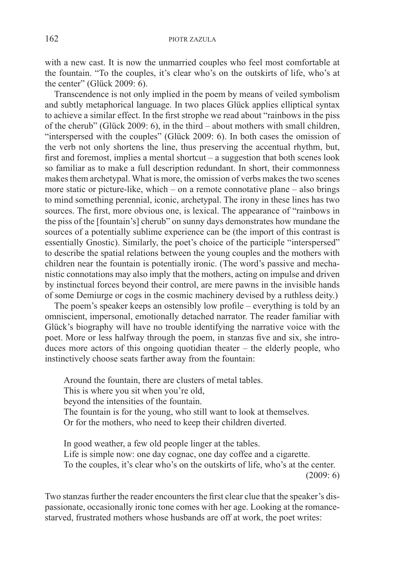with a new cast. It is now the unmarried couples who feel most comfortable at the fountain. "To the couples, it's clear who's on the outskirts of life, who's at the center" (Glück 2009:  $\overrightarrow{6}$ ).

Transcendence is not only implied in the poem by means of veiled symbolism and subtly metaphorical language. In two places Glück applies elliptical syntax to achieve a similar effect. In the first strophe we read about "rainbows in the piss of the cherub" (Glück 2009: 6), in the third – about mothers with small children, "interspersed with the couples" (Glück 2009: 6). In both cases the omission of the verb not only shortens the line, thus preserving the accentual rhythm, but, first and foremost, implies a mental shortcut – a suggestion that both scenes look so familiar as to make a full description redundant. In short, their commonness makes them archetypal. What is more, the omission of verbs makes the two scenes more static or picture-like, which – on a remote connotative plane – also brings to mind something perennial, iconic, archetypal. The irony in these lines has two sources. The first, more obvious one, is lexical. The appearance of "rainbows in the piss of the [fountain's] cherub" on sunny days demonstrates how mundane the sources of a potentially sublime experience can be (the import of this contrast is essentially Gnostic). Similarly, the poet's choice of the participle "interspersed" to describe the spatial relations between the young couples and the mothers with children near the fountain is potentially ironic. (The word's passive and mechanistic connotations may also imply that the mothers, acting on impulse and driven by instinctual forces beyond their control, are mere pawns in the invisible hands of some Demiurge or cogs in the cosmic machinery devised by a ruthless deity.)

The poem's speaker keeps an ostensibly low profile – everything is told by an omniscient, impersonal, emotionally detached narrator. The reader familiar with Glück's biography will have no trouble identifying the narrative voice with the poet. More or less halfway through the poem, in stanzas five and six, she introduces more actors of this ongoing quotidian theater – the elderly people, who instinctively choose seats farther away from the fountain:

Around the fountain, there are clusters of metal tables.

This is where you sit when you're old,

beyond the intensities of the fountain.

The fountain is for the young, who still want to look at themselves. Or for the mothers, who need to keep their children diverted.

In good weather, a few old people linger at the tables. Life is simple now: one day cognac, one day coffee and a cigarette. To the couples, it's clear who's on the outskirts of life, who's at the center. (2009: 6)

Two stanzas further the reader encounters the first clear clue that the speaker's dispassionate, occasionally ironic tone comes with her age. Looking at the romancestarved, frustrated mothers whose husbands are off at work, the poet writes: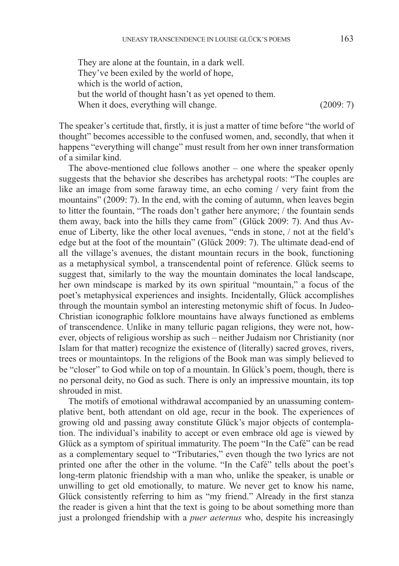They are alone at the fountain, in a dark well. They've been exiled by the world of hope, which is the world of action, but the world of thought hasn't as yet opened to them. When it does, everything will change. (2009: 7)

The speaker's certitude that, firstly, it is just a matter of time before "the world of thought" becomes accessible to the confused women, and, secondly, that when it happens "everything will change" must result from her own inner transformation of a similar kind.

The above-mentioned clue follows another – one where the speaker openly suggests that the behavior she describes has archetypal roots: "The couples are like an image from some faraway time, an echo coming / very faint from the mountains" (2009: 7). In the end, with the coming of autumn, when leaves begin to litter the fountain, "The roads don't gather here anymore; / the fountain sends them away, back into the hills they came from" (Glück 2009: 7). And thus Avenue of Liberty, like the other local avenues, "ends in stone, / not at the field's edge but at the foot of the mountain" (Glück 2009: 7). The ultimate dead-end of all the village's avenues, the distant mountain recurs in the book, functioning as a metaphysical symbol, a transcendental point of reference. Glück seems to suggest that, similarly to the way the mountain dominates the local landscape, her own mindscape is marked by its own spiritual "mountain," a focus of the poet's metaphysical experiences and insights. Incidentally, Glück accomplishes through the mountain symbol an interesting metonymic shift of focus. In Judeo-Christian iconographic folklore mountains have always functioned as emblems of transcendence. Unlike in many telluric pagan religions, they were not, however, objects of religious worship as such – neither Judaism nor Christianity (nor Islam for that matter) recognize the existence of (literally) sacred groves, rivers, trees or mountaintops. In the religions of the Book man was simply believed to be "closer" to God while on top of a mountain. In Glück's poem, though, there is no personal deity, no God as such. There is only an impressive mountain, its top shrouded in mist.

The motifs of emotional withdrawal accompanied by an unassuming contemplative bent, both attendant on old age, recur in the book. The experiences of growing old and passing away constitute Glück's major objects of contemplation. The individual's inability to accept or even embrace old age is viewed by Glück as a symptom of spiritual immaturity. The poem "In the Café" can be read as a complementary sequel to "Tributaries," even though the two lyrics are not printed one after the other in the volume. "In the Café" tells about the poet's long-term platonic friendship with a man who, unlike the speaker, is unable or unwilling to get old emotionally, to mature. We never get to know his name, Glück consistently referring to him as "my friend." Already in the first stanza the reader is given a hint that the text is going to be about something more than just a prolonged friendship with a *puer aeternus* who, despite his increasingly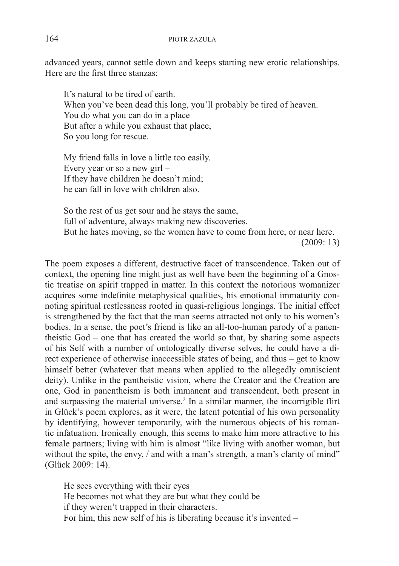advanced years, cannot settle down and keeps starting new erotic relationships. Here are the first three stanzas:

It's natural to be tired of earth. When you've been dead this long, you'll probably be tired of heaven. You do what you can do in a place But after a while you exhaust that place, So you long for rescue.

My friend falls in love a little too easily. Every year or so a new girl – If they have children he doesn't mind; he can fall in love with children also.

So the rest of us get sour and he stays the same, full of adventure, always making new discoveries. But he hates moving, so the women have to come from here, or near here. (2009: 13)

The poem exposes a different, destructive facet of transcendence. Taken out of context, the opening line might just as well have been the beginning of a Gnostic treatise on spirit trapped in matter. In this context the notorious womanizer acquires some indefinite metaphysical qualities, his emotional immaturity connoting spiritual restlessness rooted in quasi-religious longings. The initial effect is strengthened by the fact that the man seems attracted not only to his women's bodies. In a sense, the poet's friend is like an all-too-human parody of a panentheistic God – one that has created the world so that, by sharing some aspects of his Self with a number of ontologically diverse selves, he could have a direct experience of otherwise inaccessible states of being, and thus – get to know himself better (whatever that means when applied to the allegedly omniscient deity). Unlike in the pantheistic vision, where the Creator and the Creation are one, God in panentheism is both immanent and transcendent, both present in and surpassing the material universe.<sup>2</sup> In a similar manner, the incorrigible flirt in Glück's poem explores, as it were, the latent potential of his own personality by identifying, however temporarily, with the numerous objects of his romantic infatuation. Ironically enough, this seems to make him more attractive to his female partners; living with him is almost "like living with another woman, but without the spite, the envy, / and with a man's strength, a man's clarity of mind" (Glück 2009: 14).

He sees everything with their eyes He becomes not what they are but what they could be if they weren't trapped in their characters. For him, this new self of his is liberating because it's invented –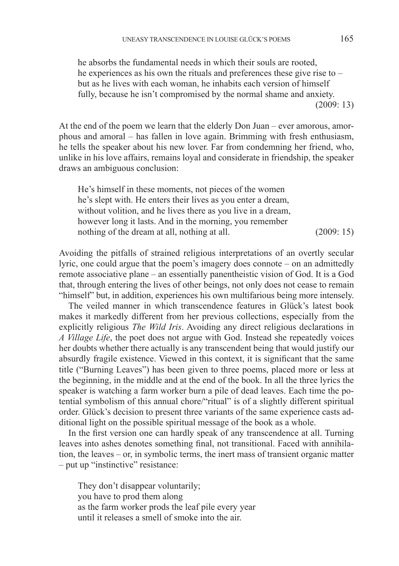he absorbs the fundamental needs in which their souls are rooted, he experiences as his own the rituals and preferences these give rise to – but as he lives with each woman, he inhabits each version of himself fully, because he isn't compromised by the normal shame and anxiety. (2009: 13)

At the end of the poem we learn that the elderly Don Juan – ever amorous, amorphous and amoral – has fallen in love again. Brimming with fresh enthusiasm, he tells the speaker about his new lover. Far from condemning her friend, who, unlike in his love affairs, remains loyal and considerate in friendship, the speaker draws an ambiguous conclusion:

He's himself in these moments, not pieces of the women he's slept with. He enters their lives as you enter a dream, without volition, and he lives there as you live in a dream, however long it lasts. And in the morning, you remember nothing of the dream at all, nothing at all. (2009: 15)

Avoiding the pitfalls of strained religious interpretations of an overtly secular lyric, one could argue that the poem's imagery does connote – on an admittedly remote associative plane – an essentially panentheistic vision of God. It is a God that, through entering the lives of other beings, not only does not cease to remain "himself" but, in addition, experiences his own multifarious being more intensely.

The veiled manner in which transcendence features in Glück's latest book makes it markedly different from her previous collections, especially from the explicitly religious *The Wild Iris*. Avoiding any direct religious declarations in *A Village Life*, the poet does not argue with God. Instead she repeatedly voices her doubts whether there actually is any transcendent being that would justify our absurdly fragile existence. Viewed in this context, it is significant that the same title ("Burning Leaves") has been given to three poems, placed more or less at the beginning, in the middle and at the end of the book. In all the three lyrics the speaker is watching a farm worker burn a pile of dead leaves. Each time the potential symbolism of this annual chore/"ritual" is of a slightly different spiritual order. Glück's decision to present three variants of the same experience casts additional light on the possible spiritual message of the book as a whole.

In the first version one can hardly speak of any transcendence at all. Turning leaves into ashes denotes something final, not transitional. Faced with annihilation, the leaves – or, in symbolic terms, the inert mass of transient organic matter – put up "instinctive" resistance:

They don't disappear voluntarily; you have to prod them along as the farm worker prods the leaf pile every year until it releases a smell of smoke into the air.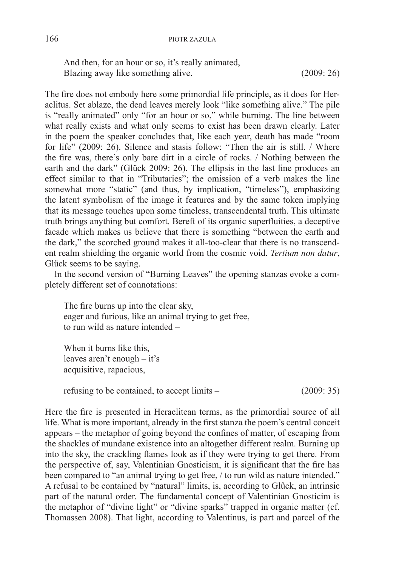And then, for an hour or so, it's really animated, Blazing away like something alive. (2009: 26)

The fire does not embody here some primordial life principle, as it does for Heraclitus. Set ablaze, the dead leaves merely look "like something alive." The pile is "really animated" only "for an hour or so," while burning. The line between what really exists and what only seems to exist has been drawn clearly. Later in the poem the speaker concludes that, like each year, death has made "room for life" (2009: 26). Silence and stasis follow: "Then the air is still. / Where the fire was, there's only bare dirt in a circle of rocks. / Nothing between the earth and the dark" (Glück 2009: 26). The ellipsis in the last line produces an effect similar to that in "Tributaries"; the omission of a verb makes the line somewhat more "static" (and thus, by implication, "timeless"), emphasizing the latent symbolism of the image it features and by the same token implying that its message touches upon some timeless, transcendental truth. This ultimate truth brings anything but comfort. Bereft of its organic superfluities, a deceptive facade which makes us believe that there is something "between the earth and the dark," the scorched ground makes it all-too-clear that there is no transcendent realm shielding the organic world from the cosmic void. *Tertium non datur*, Glück seems to be saying.

In the second version of "Burning Leaves" the opening stanzas evoke a completely different set of connotations:

The fire burns up into the clear sky, eager and furious, like an animal trying to get free, to run wild as nature intended –

When it burns like this, leaves aren't enough – it's acquisitive, rapacious,

refusing to be contained, to accept limits – (2009: 35)

Here the fire is presented in Heraclitean terms, as the primordial source of all life. What is more important, already in the first stanza the poem's central conceit appears – the metaphor of going beyond the confines of matter, of escaping from the shackles of mundane existence into an altogether different realm. Burning up into the sky, the crackling flames look as if they were trying to get there. From the perspective of, say, Valentinian Gnosticism, it is significant that the fire has been compared to "an animal trying to get free, / to run wild as nature intended." A refusal to be contained by "natural" limits, is, according to Glűck, an intrinsic part of the natural order. The fundamental concept of Valentinian Gnosticim is the metaphor of "divine light" or "divine sparks" trapped in organic matter (cf. Thomassen 2008). That light, according to Valentinus, is part and parcel of the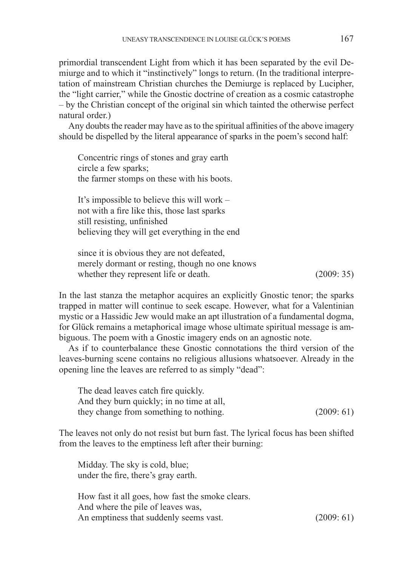primordial transcendent Light from which it has been separated by the evil Demiurge and to which it "instinctively" longs to return. (In the traditional interpretation of mainstream Christian churches the Demiurge is replaced by Lucipher, the "light carrier," while the Gnostic doctrine of creation as a cosmic catastrophe – by the Christian concept of the original sin which tainted the otherwise perfect natural order.)

Any doubts the reader may have as to the spiritual affinities of the above imagery should be dispelled by the literal appearance of sparks in the poem's second half:

Concentric rings of stones and gray earth circle a few sparks; the farmer stomps on these with his boots.

It's impossible to believe this will work – not with a fire like this, those last sparks still resisting, unfinished believing they will get everything in the end

since it is obvious they are not defeated, merely dormant or resting, though no one knows whether they represent life or death. (2009: 35)

In the last stanza the metaphor acquires an explicitly Gnostic tenor; the sparks trapped in matter will continue to seek escape. However, what for a Valentinian mystic or a Hassidic Jew would make an apt illustration of a fundamental dogma, for Glück remains a metaphorical image whose ultimate spiritual message is ambiguous. The poem with a Gnostic imagery ends on an agnostic note.

As if to counterbalance these Gnostic connotations the third version of the leaves-burning scene contains no religious allusions whatsoever. Already in the opening line the leaves are referred to as simply "dead":

| The dead leaves catch fire quickly.       |           |
|-------------------------------------------|-----------|
| And they burn quickly; in no time at all, |           |
| they change from something to nothing.    | (2009:61) |

The leaves not only do not resist but burn fast. The lyrical focus has been shifted from the leaves to the emptiness left after their burning:

Midday. The sky is cold, blue; under the fire, there's gray earth.

How fast it all goes, how fast the smoke clears. And where the pile of leaves was, An emptiness that suddenly seems vast. (2009: 61)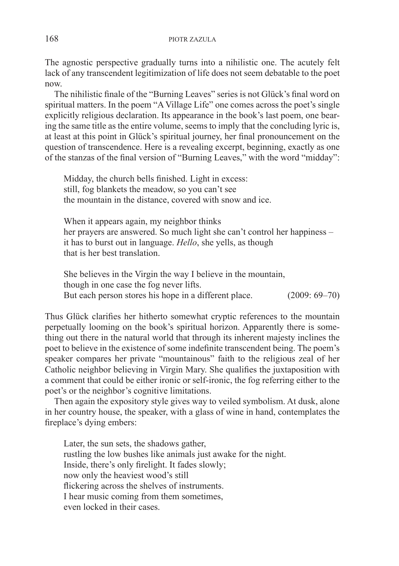The agnostic perspective gradually turns into a nihilistic one. The acutely felt lack of any transcendent legitimization of life does not seem debatable to the poet now.

The nihilistic finale of the "Burning Leaves" series is not Glück's final word on spiritual matters. In the poem "A Village Life" one comes across the poet's single explicitly religious declaration. Its appearance in the book's last poem, one bearing the same title as the entire volume, seems to imply that the concluding lyric is, at least at this point in Glück's spiritual journey, her final pronouncement on the question of transcendence. Here is a revealing excerpt, beginning, exactly as one of the stanzas of the final version of "Burning Leaves," with the word "midday":

Midday, the church bells finished. Light in excess: still, fog blankets the meadow, so you can't see the mountain in the distance, covered with snow and ice.

When it appears again, my neighbor thinks her prayers are answered. So much light she can't control her happiness – it has to burst out in language. *Hello*, she yells, as though that is her best translation.

She believes in the Virgin the way I believe in the mountain, though in one case the fog never lifts. But each person stores his hope in a different place. (2009: 69–70)

Thus Glück clarifies her hitherto somewhat cryptic references to the mountain perpetually looming on the book's spiritual horizon. Apparently there is something out there in the natural world that through its inherent majesty inclines the poet to believe in the existence of some indefinite transcendent being. The poem's speaker compares her private "mountainous" faith to the religious zeal of her Catholic neighbor believing in Virgin Mary. She qualifies the juxtaposition with a comment that could be either ironic or self-ironic, the fog referring either to the poet's or the neighbor's cognitive limitations.

Then again the expository style gives way to veiled symbolism. At dusk, alone in her country house, the speaker, with a glass of wine in hand, contemplates the fireplace's dying embers:

Later, the sun sets, the shadows gather, rustling the low bushes like animals just awake for the night. Inside, there's only firelight. It fades slowly; now only the heaviest wood's still flickering across the shelves of instruments. I hear music coming from them sometimes, even locked in their cases.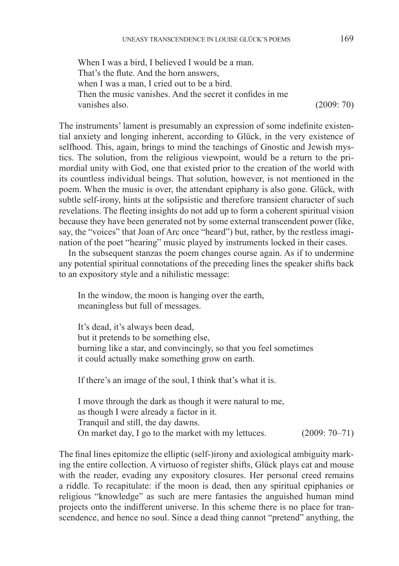When I was a bird, I believed I would be a man. That's the flute. And the horn answers, when I was a man, I cried out to be a bird. Then the music vanishes. And the secret it confides in me vanishes also. (2009: 70)

The instruments' lament is presumably an expression of some indefinite existential anxiety and longing inherent, according to Glück, in the very existence of selfhood. This, again, brings to mind the teachings of Gnostic and Jewish mystics. The solution, from the religious viewpoint, would be a return to the primordial unity with God, one that existed prior to the creation of the world with its countless individual beings. That solution, however, is not mentioned in the poem. When the music is over, the attendant epiphany is also gone. Glück, with subtle self-irony, hints at the solipsistic and therefore transient character of such revelations. The fleeting insights do not add up to form a coherent spiritual vision because they have been generated not by some external transcendent power (like, say, the "voices" that Joan of Arc once "heard") but, rather, by the restless imagination of the poet "hearing" music played by instruments locked in their cases.

In the subsequent stanzas the poem changes course again. As if to undermine any potential spiritual connotations of the preceding lines the speaker shifts back to an expository style and a nihilistic message:

In the window, the moon is hanging over the earth, meaningless but full of messages.

It's dead, it's always been dead, but it pretends to be something else, burning like a star, and convincingly, so that you feel sometimes it could actually make something grow on earth.

If there's an image of the soul, I think that's what it is.

I move through the dark as though it were natural to me, as though I were already a factor in it. Tranquil and still, the day dawns. On market day, I go to the market with my lettuces. (2009: 70–71)

The final lines epitomize the elliptic (self-)irony and axiological ambiguity marking the entire collection. A virtuoso of register shifts, Glück plays cat and mouse with the reader, evading any expository closures. Her personal creed remains a riddle. To recapitulate: if the moon is dead, then any spiritual epiphanies or religious "knowledge" as such are mere fantasies the anguished human mind projects onto the indifferent universe. In this scheme there is no place for transcendence, and hence no soul. Since a dead thing cannot "pretend" anything, the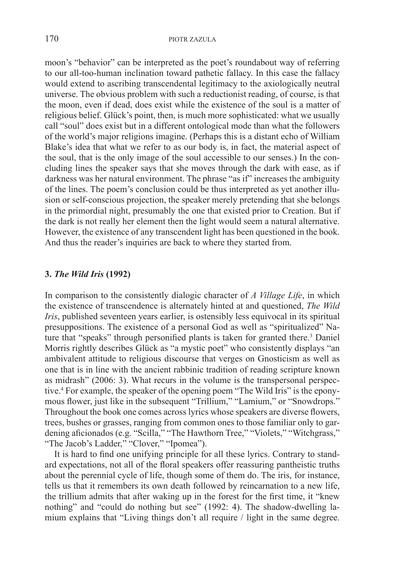moon's "behavior" can be interpreted as the poet's roundabout way of referring to our all-too-human inclination toward pathetic fallacy. In this case the fallacy would extend to ascribing transcendental legitimacy to the axiologically neutral universe. The obvious problem with such a reductionist reading, of course, is that the moon, even if dead, does exist while the existence of the soul is a matter of religious belief. Glück's point, then, is much more sophisticated: what we usually call "soul" does exist but in a different ontological mode than what the followers of the world's major religions imagine. (Perhaps this is a distant echo of William Blake's idea that what we refer to as our body is, in fact, the material aspect of the soul, that is the only image of the soul accessible to our senses.) In the concluding lines the speaker says that she moves through the dark with ease, as if darkness was her natural environment. The phrase "as if" increases the ambiguity of the lines. The poem's conclusion could be thus interpreted as yet another illusion or self-conscious projection, the speaker merely pretending that she belongs in the primordial night, presumably the one that existed prior to Creation. But if the dark is not really her element then the light would seem a natural alternative. However, the existence of any transcendent light has been questioned in the book. And thus the reader's inquiries are back to where they started from.

#### **3.** *The Wild Iris* **(1992)**

In comparison to the consistently dialogic character of *A Village Life*, in which the existence of transcendence is alternately hinted at and questioned, *The Wild Iris*, published seventeen years earlier, is ostensibly less equivocal in its spiritual presuppositions. The existence of a personal God as well as "spiritualized" Nature that "speaks" through personified plants is taken for granted there.<sup>3</sup> Daniel Morris rightly describes Glück as "a mystic poet" who consistently displays "an ambivalent attitude to religious discourse that verges on Gnosticism as well as one that is in line with the ancient rabbinic tradition of reading scripture known as midrash" (2006: 3). What recurs in the volume is the transpersonal perspective.4 For example, the speaker of the opening poem "The Wild Iris" is the eponymous flower, just like in the subsequent "Trillium," "Lamium," or "Snowdrops." Throughout the book one comes across lyrics whose speakers are diverse flowers, trees, bushes or grasses, ranging from common ones to those familiar only to gardening aficionados (e.g. "Scilla," "The Hawthorn Tree," "Violets," "Witchgrass," "The Jacob's Ladder," "Clover," "Ipomea").

It is hard to find one unifying principle for all these lyrics. Contrary to standard expectations, not all of the floral speakers offer reassuring pantheistic truths about the perennial cycle of life, though some of them do. The iris, for instance, tells us that it remembers its own death followed by reincarnation to a new life, the trillium admits that after waking up in the forest for the first time, it "knew nothing" and "could do nothing but see" (1992: 4). The shadow-dwelling lamium explains that "Living things don't all require / light in the same degree.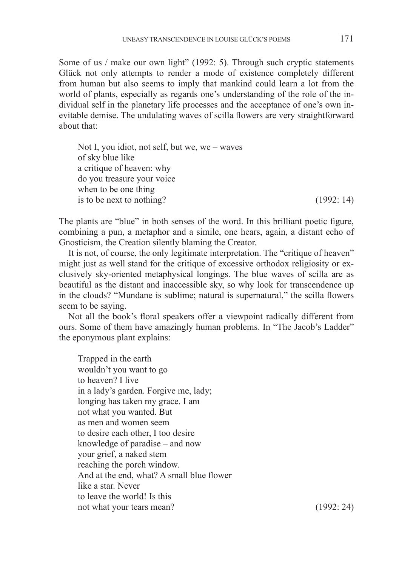Some of us / make our own light" (1992: 5). Through such cryptic statements Glück not only attempts to render a mode of existence completely different from human but also seems to imply that mankind could learn a lot from the world of plants, especially as regards one's understanding of the role of the individual self in the planetary life processes and the acceptance of one's own inevitable demise. The undulating waves of scilla flowers are very straightforward about that:

Not I, you idiot, not self, but we, we – waves of sky blue like a critique of heaven: why do you treasure your voice when to be one thing is to be next to nothing?  $(1992: 14)$ 

The plants are "blue" in both senses of the word. In this brilliant poetic figure, combining a pun, a metaphor and a simile, one hears, again, a distant echo of Gnosticism, the Creation silently blaming the Creator.

It is not, of course, the only legitimate interpretation. The "critique of heaven" might just as well stand for the critique of excessive orthodox religiosity or exclusively sky-oriented metaphysical longings. The blue waves of scilla are as beautiful as the distant and inaccessible sky, so why look for transcendence up in the clouds? "Mundane is sublime; natural is supernatural," the scilla flowers seem to be saying.

Not all the book's floral speakers offer a viewpoint radically different from ours. Some of them have amazingly human problems. In "The Jacob's Ladder" the eponymous plant explains:

Trapped in the earth wouldn't you want to go to heaven? I live in a lady's garden. Forgive me, lady; longing has taken my grace. I am not what you wanted. But as men and women seem to desire each other, I too desire knowledge of paradise – and now your grief, a naked stem reaching the porch window. And at the end, what? A small blue flower like a star. Never to leave the world! Is this not what your tears mean? (1992: 24)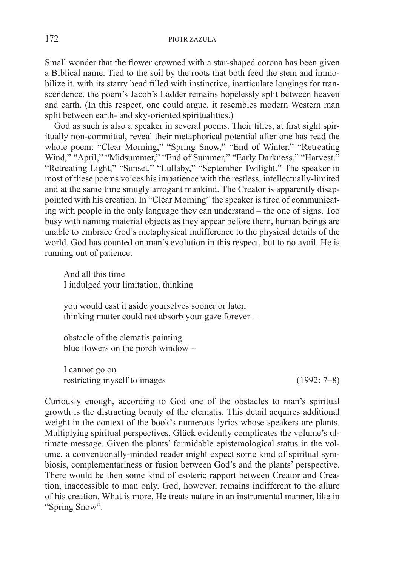Small wonder that the flower crowned with a star-shaped corona has been given a Biblical name. Tied to the soil by the roots that both feed the stem and immobilize it, with its starry head filled with instinctive, inarticulate longings for transcendence, the poem's Jacob's Ladder remains hopelessly split between heaven and earth. (In this respect, one could argue, it resembles modern Western man split between earth- and sky-oriented spiritualities.)

God as such is also a speaker in several poems. Their titles, at first sight spiritually non-committal, reveal their metaphorical potential after one has read the whole poem: "Clear Morning," "Spring Snow," "End of Winter," "Retreating Wind," "April," "Midsummer," "End of Summer," "Early Darkness," "Harvest," "Retreating Light," "Sunset," "Lullaby," "September Twilight." The speaker in most of these poems voices his impatience with the restless, intellectually-limited and at the same time smugly arrogant mankind. The Creator is apparently disappointed with his creation. In "Clear Morning" the speaker is tired of communicating with people in the only language they can understand – the one of signs. Too busy with naming material objects as they appear before them, human beings are unable to embrace God's metaphysical indifference to the physical details of the world. God has counted on man's evolution in this respect, but to no avail. He is running out of patience:

And all this time I indulged your limitation, thinking

you would cast it aside yourselves sooner or later, thinking matter could not absorb your gaze forever –

obstacle of the clematis painting blue flowers on the porch window –

I cannot go on restricting myself to images (1992: 7–8)

Curiously enough, according to God one of the obstacles to man's spiritual growth is the distracting beauty of the clematis. This detail acquires additional weight in the context of the book's numerous lyrics whose speakers are plants. Multiplying spiritual perspectives, Glück evidently complicates the volume's ultimate message. Given the plants' formidable epistemological status in the volume, a conventionally-minded reader might expect some kind of spiritual symbiosis, complementariness or fusion between God's and the plants' perspective. There would be then some kind of esoteric rapport between Creator and Creation, inaccessible to man only. God, however, remains indifferent to the allure of his creation. What is more, He treats nature in an instrumental manner, like in "Spring Snow":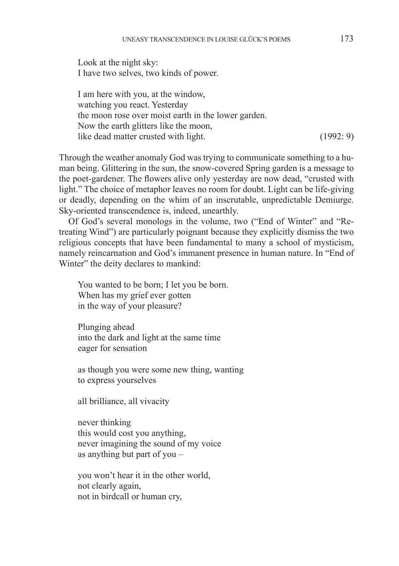Look at the night sky: I have two selves, two kinds of power.

I am here with you, at the window, watching you react. Yesterday the moon rose over moist earth in the lower garden. Now the earth glitters like the moon, like dead matter crusted with light. (1992: 9)

Through the weather anomaly God was trying to communicate something to a human being. Glittering in the sun, the snow-covered Spring garden is a message to the poet-gardener. The flowers alive only yesterday are now dead, "crusted with light." The choice of metaphor leaves no room for doubt. Light can be life-giving or deadly, depending on the whim of an inscrutable, unpredictable Demiurge. Sky-oriented transcendence is, indeed, unearthly.

Of God's several monologs in the volume, two ("End of Winter" and "Retreating Wind") are particularly poignant because they explicitly dismiss the two religious concepts that have been fundamental to many a school of mysticism, namely reincarnation and God's immanent presence in human nature. In "End of Winter" the deity declares to mankind:

You wanted to be born; I let you be born. When has my grief ever gotten in the way of your pleasure?

Plunging ahead into the dark and light at the same time eager for sensation

as though you were some new thing, wanting to express yourselves

all brilliance, all vivacity

never thinking this would cost you anything, never imagining the sound of my voice as anything but part of you –

you won't hear it in the other world, not clearly again, not in birdcall or human cry,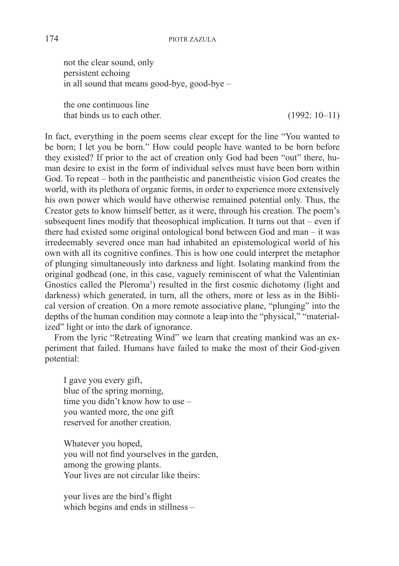not the clear sound, only persistent echoing in all sound that means good-bye, good-bye –

the one continuous line that binds us to each other.  $(1992: 10-11)$ 

In fact, everything in the poem seems clear except for the line "You wanted to be born; I let you be born." How could people have wanted to be born before they existed? If prior to the act of creation only God had been "out" there, human desire to exist in the form of individual selves must have been born within God. To repeat – both in the pantheistic and panentheistic vision God creates the world, with its plethora of organic forms, in order to experience more extensively his own power which would have otherwise remained potential only. Thus, the Creator gets to know himself better, as it were, through his creation. The poem's subsequent lines modify that theosophical implication. It turns out that – even if there had existed some original ontological bond between God and man – it was irredeemably severed once man had inhabited an epistemological world of his own with all its cognitive confines. This is how one could interpret the metaphor of plunging simultaneously into darkness and light. Isolating mankind from the original godhead (one, in this case, vaguely reminiscent of what the Valentinian Gnostics called the Pleroma<sup>5</sup>) resulted in the first cosmic dichotomy (light and darkness) which generated, in turn, all the others, more or less as in the Biblical version of creation. On a more remote associative plane, "plunging" into the depths of the human condition may connote a leap into the "physical," "materialized" light or into the dark of ignorance.

From the lyric "Retreating Wind" we learn that creating mankind was an experiment that failed. Humans have failed to make the most of their God-given potential:

I gave you every gift, blue of the spring morning, time you didn't know how to use – you wanted more, the one gift reserved for another creation.

Whatever you hoped, you will not find yourselves in the garden, among the growing plants. Your lives are not circular like theirs:

your lives are the bird's flight which begins and ends in stillness –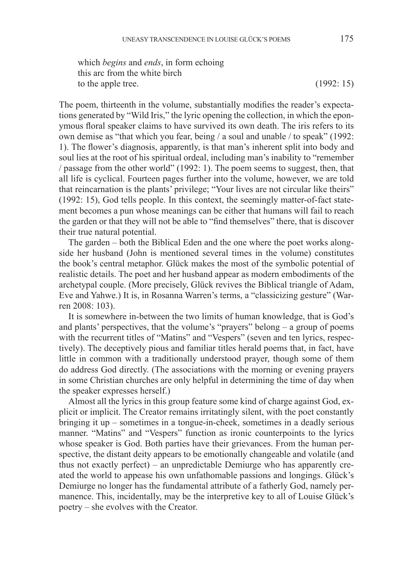which *begins* and *ends*, in form echoing this arc from the white birch to the apple tree.  $(1992: 15)$ 

The poem, thirteenth in the volume, substantially modifies the reader's expectations generated by "Wild Iris," the lyric opening the collection, in which the eponymous floral speaker claims to have survived its own death. The iris refers to its own demise as "that which you fear, being / a soul and unable / to speak" (1992: 1). The flower's diagnosis, apparently, is that man's inherent split into body and soul lies at the root of his spiritual ordeal, including man's inability to "remember / passage from the other world" (1992: 1). The poem seems to suggest, then, that all life is cyclical. Fourteen pages further into the volume, however, we are told that reincarnation is the plants' privilege; "Your lives are not circular like theirs" (1992: 15), God tells people. In this context, the seemingly matter-of-fact statement becomes a pun whose meanings can be either that humans will fail to reach the garden or that they will not be able to "find themselves" there, that is discover their true natural potential.

The garden – both the Biblical Eden and the one where the poet works alongside her husband (John is mentioned several times in the volume) constitutes the book's central metaphor. Glück makes the most of the symbolic potential of realistic details. The poet and her husband appear as modern embodiments of the archetypal couple. (More precisely, Glück revives the Biblical triangle of Adam, Eve and Yahwe.) It is, in Rosanna Warren's terms, a "classicizing gesture" (Warren 2008: 103).

It is somewhere in-between the two limits of human knowledge, that is God's and plants' perspectives, that the volume's "prayers" belong – a group of poems with the recurrent titles of "Matins" and "Vespers" (seven and ten lyrics, respectively). The deceptively pious and familiar titles herald poems that, in fact, have little in common with a traditionally understood prayer, though some of them do address God directly. (The associations with the morning or evening prayers in some Christian churches are only helpful in determining the time of day when the speaker expresses herself.)

Almost all the lyrics in this group feature some kind of charge against God, explicit or implicit. The Creator remains irritatingly silent, with the poet constantly bringing it up – sometimes in a tongue-in-cheek, sometimes in a deadly serious manner. "Matins" and "Vespers" function as ironic counterpoints to the lyrics whose speaker is God. Both parties have their grievances. From the human perspective, the distant deity appears to be emotionally changeable and volatile (and thus not exactly perfect) – an unpredictable Demiurge who has apparently created the world to appease his own unfathomable passions and longings. Glück's Demiurge no longer has the fundamental attribute of a fatherly God, namely permanence. This, incidentally, may be the interpretive key to all of Louise Glück's poetry – she evolves with the Creator.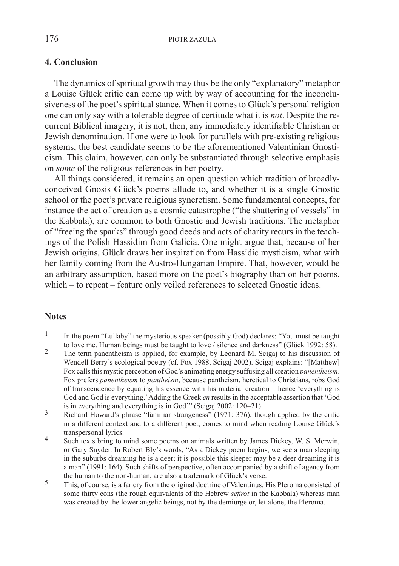## **4. Conclusion**

The dynamics of spiritual growth may thus be the only "explanatory" metaphor a Louise Glück critic can come up with by way of accounting for the inconclusiveness of the poet's spiritual stance. When it comes to Glück's personal religion one can only say with a tolerable degree of certitude what it is *not*. Despite the recurrent Biblical imagery, it is not, then, any immediately identifiable Christian or Jewish denomination. If one were to look for parallels with pre-existing religious systems, the best candidate seems to be the aforementioned Valentinian Gnosticism. This claim, however, can only be substantiated through selective emphasis on *some* of the religious references in her poetry.

All things considered, it remains an open question which tradition of broadlyconceived Gnosis Glück's poems allude to, and whether it is a single Gnostic school or the poet's private religious syncretism. Some fundamental concepts, for instance the act of creation as a cosmic catastrophe ("the shattering of vessels" in the Kabbala), are common to both Gnostic and Jewish traditions. The metaphor of "freeing the sparks" through good deeds and acts of charity recurs in the teachings of the Polish Hassidim from Galicia. One might argue that, because of her Jewish origins, Glück draws her inspiration from Hassidic mysticism, what with her family coming from the Austro-Hungarian Empire. That, however, would be an arbitrary assumption, based more on the poet's biography than on her poems, which – to repeat – feature only veiled references to selected Gnostic ideas.

# **Notes**

- <sup>1</sup> In the poem "Lullaby" the mysterious speaker (possibly God) declares: "You must be taught to love me. Human beings must be taught to love / silence and darkness" (Glück 1992: 58).
- <sup>2</sup> The term panentheism is applied, for example, by Leonard M. Scigaj to his discussion of Wendell Berry's ecological poetry (cf. Fox 1988, Scigaj 2002). Scigaj explains: "[Matthew] Fox calls this mystic perception of God's animating energy suffusing all creation *panentheism*. Fox prefers *panentheism* to *pantheism*, because pantheism, heretical to Christians, robs God of transcendence by equating his essence with his material creation – hence 'everything is God and God is everything.' Adding the Greek *en* results in the acceptable assertion that 'God is in everything and everything is in God'" (Scigaj 2002: 120–21).
- <sup>3</sup> Richard Howard's phrase "familiar strangeness" (1971: 376), though applied by the critic in a different context and to a different poet, comes to mind when reading Louise Glück's transpersonal lyrics.
- <sup>4</sup> Such texts bring to mind some poems on animals written by James Dickey, W. S. Merwin, or Gary Snyder. In Robert Bly's words, "As a Dickey poem begins, we see a man sleeping in the suburbs dreaming he is a deer; it is possible this sleeper may be a deer dreaming it is a man" (1991: 164). Such shifts of perspective, often accompanied by a shift of agency from the human to the non-human, are also a trademark of Glück's verse.
- <sup>5</sup> This, of course, is a far cry from the original doctrine of Valentinus. His Pleroma consisted of some thirty eons (the rough equivalents of the Hebrew *sefirot* in the Kabbala) whereas man was created by the lower angelic beings, not by the demiurge or, let alone, the Pleroma.